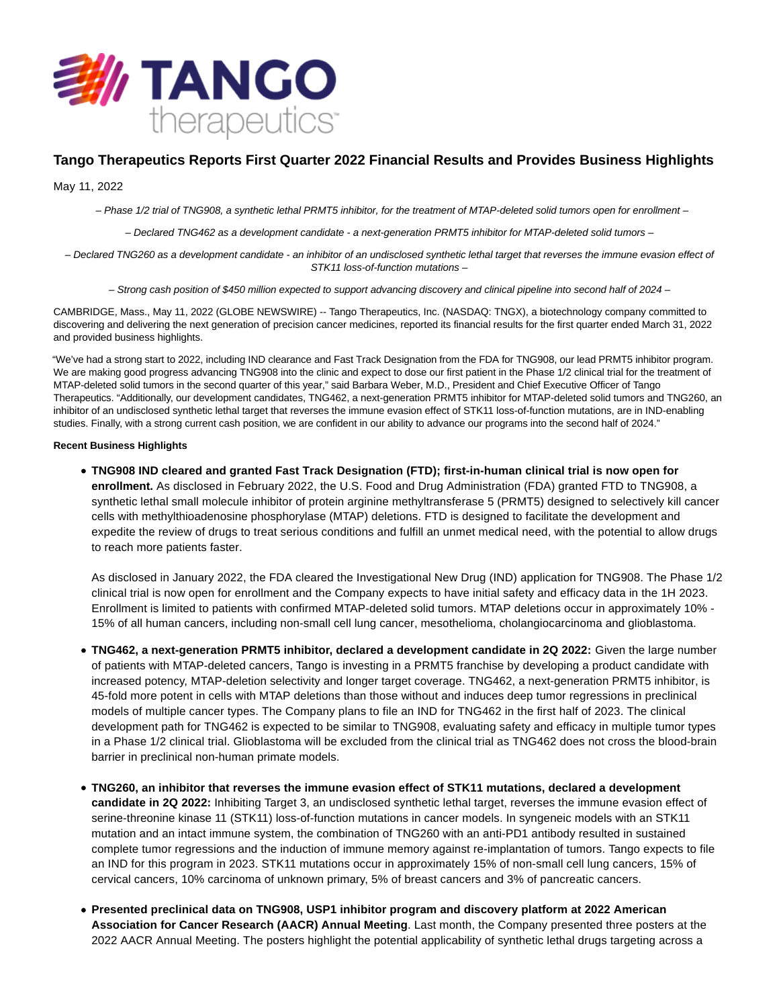

# **Tango Therapeutics Reports First Quarter 2022 Financial Results and Provides Business Highlights**

May 11, 2022

– Phase 1/2 trial of TNG908, a synthetic lethal PRMT5 inhibitor, for the treatment of MTAP-deleted solid tumors open for enrollment –

– Declared TNG462 as a development candidate - a next-generation PRMT5 inhibitor for MTAP-deleted solid tumors –

– Declared TNG260 as a development candidate - an inhibitor of an undisclosed synthetic lethal target that reverses the immune evasion effect of STK11 loss-of-function mutations –

– Strong cash position of \$450 million expected to support advancing discovery and clinical pipeline into second half of 2024 –

CAMBRIDGE, Mass., May 11, 2022 (GLOBE NEWSWIRE) -- Tango Therapeutics, Inc. (NASDAQ: TNGX), a biotechnology company committed to discovering and delivering the next generation of precision cancer medicines, reported its financial results for the first quarter ended March 31, 2022 and provided business highlights.

"We've had a strong start to 2022, including IND clearance and Fast Track Designation from the FDA for TNG908, our lead PRMT5 inhibitor program. We are making good progress advancing TNG908 into the clinic and expect to dose our first patient in the Phase 1/2 clinical trial for the treatment of MTAP-deleted solid tumors in the second quarter of this year," said Barbara Weber, M.D., President and Chief Executive Officer of Tango Therapeutics. "Additionally, our development candidates, TNG462, a next-generation PRMT5 inhibitor for MTAP-deleted solid tumors and TNG260, an inhibitor of an undisclosed synthetic lethal target that reverses the immune evasion effect of STK11 loss-of-function mutations, are in IND-enabling studies. Finally, with a strong current cash position, we are confident in our ability to advance our programs into the second half of 2024."

# **Recent Business Highlights**

**TNG908 IND cleared and granted Fast Track Designation (FTD); first-in-human clinical trial is now open for enrollment.** As disclosed in February 2022, the U.S. Food and Drug Administration (FDA) granted FTD to TNG908, a synthetic lethal small molecule inhibitor of protein arginine methyltransferase 5 (PRMT5) designed to selectively kill cancer cells with methylthioadenosine phosphorylase (MTAP) deletions. FTD is designed to facilitate the development and expedite the review of drugs to treat serious conditions and fulfill an unmet medical need, with the potential to allow drugs to reach more patients faster.

As disclosed in January 2022, the FDA cleared the Investigational New Drug (IND) application for TNG908. The Phase 1/2 clinical trial is now open for enrollment and the Company expects to have initial safety and efficacy data in the 1H 2023. Enrollment is limited to patients with confirmed MTAP-deleted solid tumors. MTAP deletions occur in approximately 10% - 15% of all human cancers, including non-small cell lung cancer, mesothelioma, cholangiocarcinoma and glioblastoma.

- **TNG462, a next-generation PRMT5 inhibitor, declared a development candidate in 2Q 2022:** Given the large number of patients with MTAP-deleted cancers, Tango is investing in a PRMT5 franchise by developing a product candidate with increased potency, MTAP-deletion selectivity and longer target coverage. TNG462, a next-generation PRMT5 inhibitor, is 45-fold more potent in cells with MTAP deletions than those without and induces deep tumor regressions in preclinical models of multiple cancer types. The Company plans to file an IND for TNG462 in the first half of 2023. The clinical development path for TNG462 is expected to be similar to TNG908, evaluating safety and efficacy in multiple tumor types in a Phase 1/2 clinical trial. Glioblastoma will be excluded from the clinical trial as TNG462 does not cross the blood-brain barrier in preclinical non-human primate models.
- **TNG260, an inhibitor that reverses the immune evasion effect of STK11 mutations, declared a development candidate in 2Q 2022:** Inhibiting Target 3, an undisclosed synthetic lethal target, reverses the immune evasion effect of serine-threonine kinase 11 (STK11) loss-of-function mutations in cancer models. In syngeneic models with an STK11 mutation and an intact immune system, the combination of TNG260 with an anti-PD1 antibody resulted in sustained complete tumor regressions and the induction of immune memory against re-implantation of tumors. Tango expects to file an IND for this program in 2023. STK11 mutations occur in approximately 15% of non-small cell lung cancers, 15% of cervical cancers, 10% carcinoma of unknown primary, 5% of breast cancers and 3% of pancreatic cancers.
- **Presented preclinical data on TNG908, USP1 inhibitor program and discovery platform at 2022 American Association for Cancer Research (AACR) Annual Meeting**. Last month, the Company presented three posters at the 2022 AACR Annual Meeting. The posters highlight the potential applicability of synthetic lethal drugs targeting across a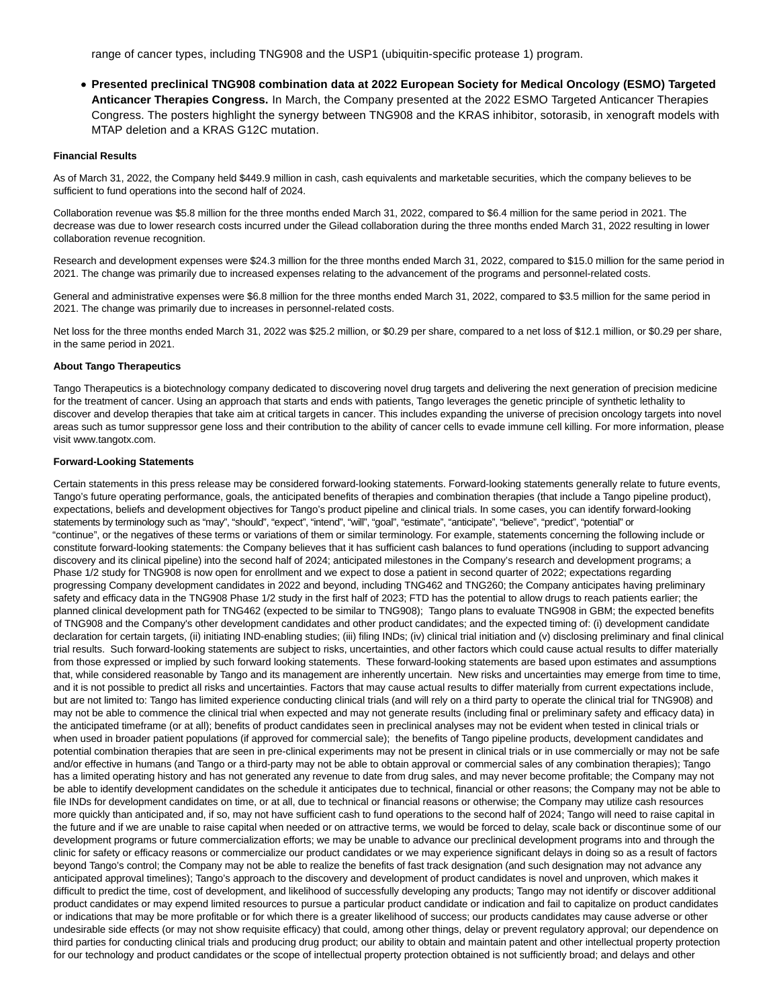range of cancer types, including TNG908 and the USP1 (ubiquitin-specific protease 1) program.

**Presented preclinical TNG908 combination data at 2022 European Society for Medical Oncology (ESMO) Targeted Anticancer Therapies Congress.** In March, the Company presented at the 2022 ESMO Targeted Anticancer Therapies Congress. The posters highlight the synergy between TNG908 and the KRAS inhibitor, sotorasib, in xenograft models with MTAP deletion and a KRAS G12C mutation.

## **Financial Results**

As of March 31, 2022, the Company held \$449.9 million in cash, cash equivalents and marketable securities, which the company believes to be sufficient to fund operations into the second half of 2024.

Collaboration revenue was \$5.8 million for the three months ended March 31, 2022, compared to \$6.4 million for the same period in 2021. The decrease was due to lower research costs incurred under the Gilead collaboration during the three months ended March 31, 2022 resulting in lower collaboration revenue recognition.

Research and development expenses were \$24.3 million for the three months ended March 31, 2022, compared to \$15.0 million for the same period in 2021. The change was primarily due to increased expenses relating to the advancement of the programs and personnel-related costs.

General and administrative expenses were \$6.8 million for the three months ended March 31, 2022, compared to \$3.5 million for the same period in 2021. The change was primarily due to increases in personnel-related costs.

Net loss for the three months ended March 31, 2022 was \$25.2 million, or \$0.29 per share, compared to a net loss of \$12.1 million, or \$0.29 per share, in the same period in 2021.

#### **About Tango Therapeutics**

Tango Therapeutics is a biotechnology company dedicated to discovering novel drug targets and delivering the next generation of precision medicine for the treatment of cancer. Using an approach that starts and ends with patients, Tango leverages the genetic principle of synthetic lethality to discover and develop therapies that take aim at critical targets in cancer. This includes expanding the universe of precision oncology targets into novel areas such as tumor suppressor gene loss and their contribution to the ability of cancer cells to evade immune cell killing. For more information, please visit www.tangotx.com.

## **Forward-Looking Statements**

Certain statements in this press release may be considered forward-looking statements. Forward-looking statements generally relate to future events, Tango's future operating performance, goals, the anticipated benefits of therapies and combination therapies (that include a Tango pipeline product), expectations, beliefs and development objectives for Tango's product pipeline and clinical trials. In some cases, you can identify forward-looking statements by terminology such as "may", "should", "expect", "intend", "will", "goal", "estimate", "anticipate", "believe", "predict", "potential" or "continue", or the negatives of these terms or variations of them or similar terminology. For example, statements concerning the following include or constitute forward-looking statements: the Company believes that it has sufficient cash balances to fund operations (including to support advancing discovery and its clinical pipeline) into the second half of 2024; anticipated milestones in the Company's research and development programs; a Phase 1/2 study for TNG908 is now open for enrollment and we expect to dose a patient in second quarter of 2022; expectations regarding progressing Company development candidates in 2022 and beyond, including TNG462 and TNG260; the Company anticipates having preliminary safety and efficacy data in the TNG908 Phase 1/2 study in the first half of 2023; FTD has the potential to allow drugs to reach patients earlier; the planned clinical development path for TNG462 (expected to be similar to TNG908); Tango plans to evaluate TNG908 in GBM; the expected benefits of TNG908 and the Company's other development candidates and other product candidates; and the expected timing of: (i) development candidate declaration for certain targets, (ii) initiating IND-enabling studies; (iii) filing INDs; (iv) clinical initiation and (v) disclosing preliminary and final clinical trial results. Such forward-looking statements are subject to risks, uncertainties, and other factors which could cause actual results to differ materially from those expressed or implied by such forward looking statements. These forward-looking statements are based upon estimates and assumptions that, while considered reasonable by Tango and its management are inherently uncertain. New risks and uncertainties may emerge from time to time, and it is not possible to predict all risks and uncertainties. Factors that may cause actual results to differ materially from current expectations include, but are not limited to: Tango has limited experience conducting clinical trials (and will rely on a third party to operate the clinical trial for TNG908) and may not be able to commence the clinical trial when expected and may not generate results (including final or preliminary safety and efficacy data) in the anticipated timeframe (or at all); benefits of product candidates seen in preclinical analyses may not be evident when tested in clinical trials or when used in broader patient populations (if approved for commercial sale); the benefits of Tango pipeline products, development candidates and potential combination therapies that are seen in pre-clinical experiments may not be present in clinical trials or in use commercially or may not be safe and/or effective in humans (and Tango or a third-party may not be able to obtain approval or commercial sales of any combination therapies); Tango has a limited operating history and has not generated any revenue to date from drug sales, and may never become profitable; the Company may not be able to identify development candidates on the schedule it anticipates due to technical, financial or other reasons; the Company may not be able to file INDs for development candidates on time, or at all, due to technical or financial reasons or otherwise; the Company may utilize cash resources more quickly than anticipated and, if so, may not have sufficient cash to fund operations to the second half of 2024; Tango will need to raise capital in the future and if we are unable to raise capital when needed or on attractive terms, we would be forced to delay, scale back or discontinue some of our development programs or future commercialization efforts; we may be unable to advance our preclinical development programs into and through the clinic for safety or efficacy reasons or commercialize our product candidates or we may experience significant delays in doing so as a result of factors beyond Tango's control; the Company may not be able to realize the benefits of fast track designation (and such designation may not advance any anticipated approval timelines); Tango's approach to the discovery and development of product candidates is novel and unproven, which makes it difficult to predict the time, cost of development, and likelihood of successfully developing any products; Tango may not identify or discover additional product candidates or may expend limited resources to pursue a particular product candidate or indication and fail to capitalize on product candidates or indications that may be more profitable or for which there is a greater likelihood of success; our products candidates may cause adverse or other undesirable side effects (or may not show requisite efficacy) that could, among other things, delay or prevent regulatory approval; our dependence on third parties for conducting clinical trials and producing drug product; our ability to obtain and maintain patent and other intellectual property protection for our technology and product candidates or the scope of intellectual property protection obtained is not sufficiently broad; and delays and other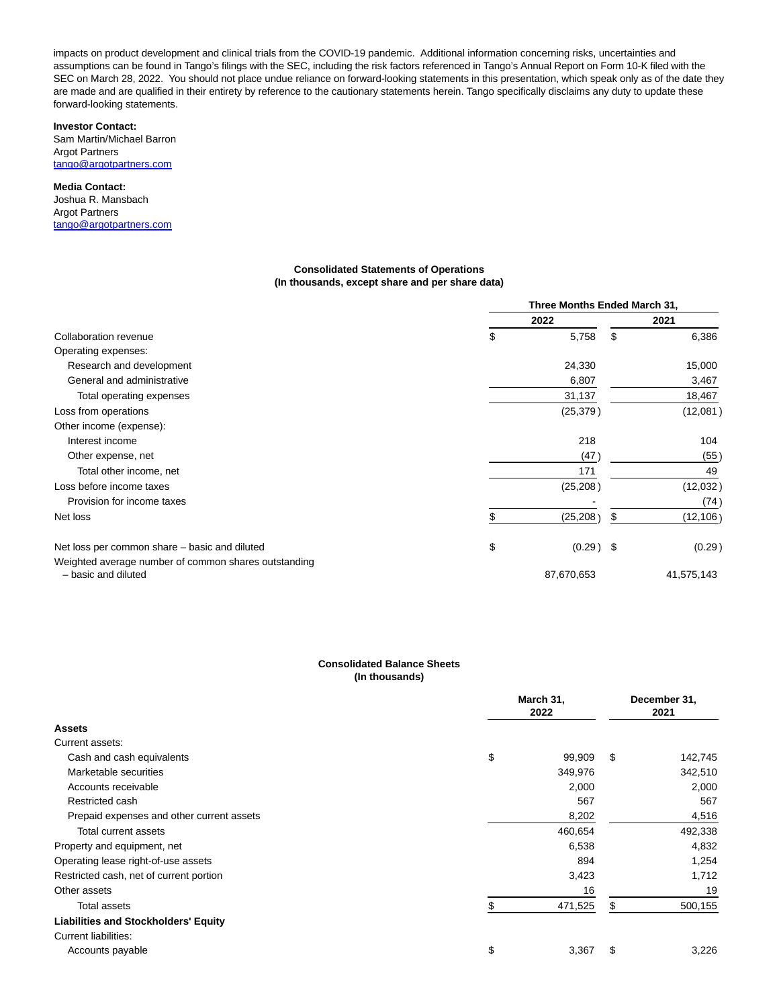impacts on product development and clinical trials from the COVID-19 pandemic. Additional information concerning risks, uncertainties and assumptions can be found in Tango's filings with the SEC, including the risk factors referenced in Tango's Annual Report on Form 10-K filed with the SEC on March 28, 2022. You should not place undue reliance on forward-looking statements in this presentation, which speak only as of the date they are made and are qualified in their entirety by reference to the cautionary statements herein. Tango specifically disclaims any duty to update these forward-looking statements.

# **Investor Contact:**

Sam Martin/Michael Barron Argot Partners [tango@argotpartners.com](https://www.globenewswire.com/Tracker?data=hbPZovuAswMHz2l_YAh-UdThCzGI0-yQkMtbz6q6kOh5ATk2ovv5W4FB8K_HpMPyldO_M3k2UtGiX4AZtAiTMQJc8jTJEogbhDE3H_5swXhG-6sOAn97p3qnphYdGcdi)

#### **Media Contact:**

Joshua R. Mansbach Argot Partners [tango@argotpartners.com](https://www.globenewswire.com/Tracker?data=hbPZovuAswMHz2l_YAh-UdThCzGI0-yQkMtbz6q6kOjBIpbHCocTzG2kDOL-TpPVh9ZIvnH44rjbDjB5zC0hnoq3xZzMQVbXLwzSEKfqnL4UyxipJA2-AuCz9rHZJSRm)

## **Consolidated Statements of Operations (In thousands, except share and per share data)**

|                                                                             | Three Months Ended March 31, |    |            |
|-----------------------------------------------------------------------------|------------------------------|----|------------|
|                                                                             | 2022                         |    | 2021       |
| Collaboration revenue                                                       | \$<br>5,758                  | \$ | 6,386      |
| Operating expenses:                                                         |                              |    |            |
| Research and development                                                    | 24,330                       |    | 15,000     |
| General and administrative                                                  | 6,807                        |    | 3,467      |
| Total operating expenses                                                    | 31,137                       |    | 18,467     |
| Loss from operations                                                        | (25, 379)                    |    | (12,081)   |
| Other income (expense):                                                     |                              |    |            |
| Interest income                                                             | 218                          |    | 104        |
| Other expense, net                                                          | (47                          |    | (55)       |
| Total other income, net                                                     | 171                          |    | 49         |
| Loss before income taxes                                                    | (25, 208)                    |    | (12,032)   |
| Provision for income taxes                                                  |                              |    | (74)       |
| Net loss                                                                    | (25, 208)                    |    | (12, 106)  |
| Net loss per common share - basic and diluted                               | \$<br>$(0.29)$ \$            |    | (0.29)     |
| Weighted average number of common shares outstanding<br>- basic and diluted | 87,670,653                   |    | 41,575,143 |

## **Consolidated Balance Sheets (In thousands)**

|                                             | March 31,<br>2022 |   | December 31,<br>2021 |  |
|---------------------------------------------|-------------------|---|----------------------|--|
| <b>Assets</b>                               |                   |   |                      |  |
| Current assets:                             |                   |   |                      |  |
| Cash and cash equivalents                   | \$<br>99,909      | S | 142,745              |  |
| Marketable securities                       | 349,976           |   | 342,510              |  |
| Accounts receivable                         | 2,000             |   | 2,000                |  |
| Restricted cash                             | 567               |   | 567                  |  |
| Prepaid expenses and other current assets   | 8,202             |   | 4,516                |  |
| <b>Total current assets</b>                 | 460,654           |   | 492,338              |  |
| Property and equipment, net                 | 6,538             |   | 4,832                |  |
| Operating lease right-of-use assets         | 894               |   | 1,254                |  |
| Restricted cash, net of current portion     | 3,423             |   | 1,712                |  |
| Other assets                                | 16                |   | 19                   |  |
| Total assets                                | 471,525           |   | 500,155              |  |
| <b>Liabilities and Stockholders' Equity</b> |                   |   |                      |  |
| <b>Current liabilities:</b>                 |                   |   |                      |  |
| Accounts payable                            | \$<br>3,367       | S | 3,226                |  |